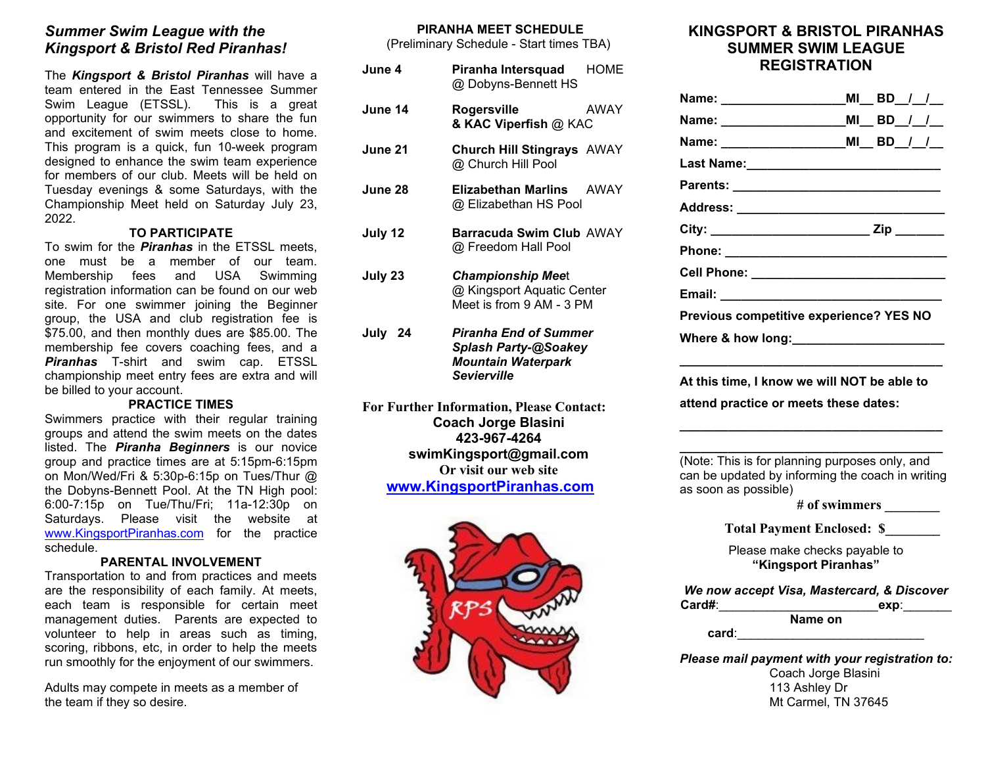# *Summer Swim League with the Kingsport & Bristol Red Piranhas!*

The *Kingsport & Bristol Piranhas* will have a team entered in the East Tennessee Summer Swim League (ETSSL). This is a great opportunity for our swimmers to share the fun and excitement of swim meets close to home. This program is a quick, fun 10-week program designed to enhance the swim team experience for members of our club. Meets will be held on Tuesday evenings & some Saturdays, with the Championship Meet held on Saturday July 23, 2022.

#### **TO PARTICIPATE**

To swim for the *Piranhas* in the ETSSL meets, one must be a member of our team. Membership fees and USA Swimming registration information can be found on our web site. For one swimmer joining the Beginner group, the USA and club registration fee is \$75.00, and then monthly dues are \$85.00. The membership fee covers coaching fees, and a *Piranhas* T-shirt and swim cap. ETSSL championship meet entry fees are extra and will be billed to your account.

#### **PRACTICE TIMES**

Swimmers practice with their regular training groups and attend the swim meets on the dates listed. The *Piranha Beginners* is our novice group and practice times are at 5:15pm-6:15pm on Mon/Wed/Fri & 5:30p-6:15p on Tues/Thur @ the Dobyns-Bennett Pool. At the TN High pool: 6:00-7:15p on Tue/Thu/Fri; 11a-12:30p on Saturdays. Please visit the website at [www.KingsportPiranhas.com](http://www.kingsportpiranhas.com/) for the practice schedule.

#### **PARENTAL INVOLVEMENT**

Transportation to and from practices and meets are the responsibility of each family. At meets, each team is responsible for certain meet management duties. Parents are expected to volunteer to help in areas such as timing, scoring, ribbons, etc, in order to help the meets run smoothly for the enjoyment of our swimmers.

Adults may compete in meets as a member of the team if they so desire.

#### **PIRANHA MEET SCHEDULE**

(Preliminary Schedule - Start times TBA)

| June 4.                                         | Piranha Intersquad<br>@ Dobyns-Bennett HS                                                                      | <b>HOME</b> |  |
|-------------------------------------------------|----------------------------------------------------------------------------------------------------------------|-------------|--|
| June 14                                         | Rogersville<br>& KAC Viperfish @ KAC                                                                           | AWAY        |  |
| June 21                                         | <b>Church Hill Stingrays AWAY</b><br>@ Church Hill Pool                                                        |             |  |
| June 28                                         | Elizabethan Marlins<br>@ Elizabethan HS Pool                                                                   | <b>AWAY</b> |  |
| July 12                                         | Barracuda Swim Club AWAY<br>@ Freedom Hall Pool                                                                |             |  |
| July 23                                         | <b>Championship Meet</b><br>@ Kingsport Aquatic Center<br>Meet is from 9 AM - 3 PM                             |             |  |
| July 24                                         | <b>Piranha End of Summer</b><br><b>Splash Party-@Soakey</b><br><b>Mountain Waterpark</b><br><b>Sevierville</b> |             |  |
| <b>For Further Information, Please Contact:</b> |                                                                                                                |             |  |

**Coach Jorge Blasini 423-967-4264 swimKingsport@gmail.com Or visit our web site [www.KingsportPiranhas.com](http://www.kingsportpiranhas.com/)**



# **KINGSPORT & BRISTOL PIRANHAS SUMMER SWIM LEAGUE REGISTRATION**

| Name: __________________                                                                                                   |  | $MI$ _BD_/_/__       |  |  |
|----------------------------------------------------------------------------------------------------------------------------|--|----------------------|--|--|
| Name: ______________________MI__ BD__/__/__                                                                                |  |                      |  |  |
| Name: __________________________MI__ BD__/__/__                                                                            |  |                      |  |  |
| Last Name:__________________________                                                                                       |  |                      |  |  |
|                                                                                                                            |  |                      |  |  |
| Address: __________________________________                                                                                |  |                      |  |  |
|                                                                                                                            |  |                      |  |  |
| Phone: ___________________________                                                                                         |  |                      |  |  |
| Cell Phone: _____________________________                                                                                  |  |                      |  |  |
|                                                                                                                            |  |                      |  |  |
| Previous competitive experience? YES NO                                                                                    |  |                      |  |  |
| Where & how long: Where & how long:                                                                                        |  |                      |  |  |
|                                                                                                                            |  |                      |  |  |
| At this time, I know we will NOT be able to                                                                                |  |                      |  |  |
| attend practice or meets these dates:                                                                                      |  |                      |  |  |
|                                                                                                                            |  |                      |  |  |
|                                                                                                                            |  |                      |  |  |
| (Note: This is for planning purposes only, and<br>can be updated by informing the coach in writing<br>as soon as possible) |  |                      |  |  |
|                                                                                                                            |  | # of swimmers        |  |  |
| <b>Total Payment Enclosed: \$</b>                                                                                          |  |                      |  |  |
| Please make checks payable to<br>"Kingsport Piranhas"                                                                      |  |                      |  |  |
| We now accept Visa, Mastercard, & Discover<br>$Card#$ : $\qquad \qquad$                                                    |  | ________exp:________ |  |  |
| Name on                                                                                                                    |  |                      |  |  |
|                                                                                                                            |  |                      |  |  |
| Please mail payment with your registration to:                                                                             |  |                      |  |  |

Coach Jorge Blasini 113 Ashley Dr Mt Carmel, TN 37645